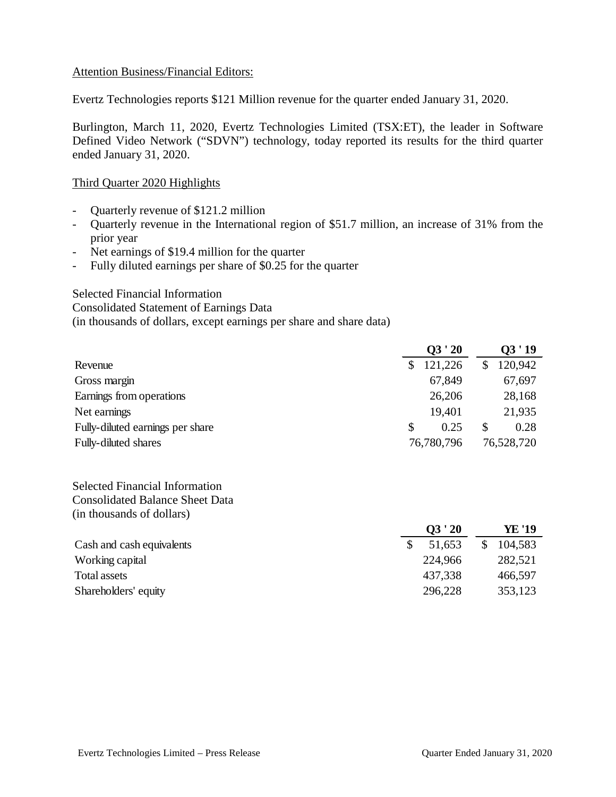#### Attention Business/Financial Editors:

Evertz Technologies reports \$121 Million revenue for the quarter ended January 31, 2020.

Burlington, March 11, 2020, Evertz Technologies Limited (TSX:ET), the leader in Software Defined Video Network ("SDVN") technology, today reported its results for the third quarter ended January 31, 2020.

## Third Quarter 2020 Highlights

- Quarterly revenue of \$121.2 million
- Quarterly revenue in the International region of \$51.7 million, an increase of 31% from the prior year
- Net earnings of \$19.4 million for the quarter
- Fully diluted earnings per share of \$0.25 for the quarter

## Selected Financial Information

Consolidated Statement of Earnings Data (in thousands of dollars, except earnings per share and share data)

|                                  |     | Q3'20      |   | 03'19      |  |
|----------------------------------|-----|------------|---|------------|--|
| Revenue                          |     | 121,226    |   | 120,942    |  |
| Gross margin                     |     | 67,849     |   | 67,697     |  |
| Earnings from operations         |     | 26,206     |   | 28,168     |  |
| Net earnings                     |     | 19,401     |   | 21,935     |  |
| Fully-diluted earnings per share | \$. | 0.25       | S | 0.28       |  |
| Fully-diluted shares             |     | 76,780,796 |   | 76,528,720 |  |

Selected Financial Information Consolidated Balance Sheet Data (in thousands of dollars)

|                           | Q3'20   |         |
|---------------------------|---------|---------|
| Cash and cash equivalents | 51,653  | 104,583 |
| Working capital           | 224,966 | 282,521 |
| Total assets              | 437,338 | 466,597 |
| Shareholders' equity      | 296,228 | 353,123 |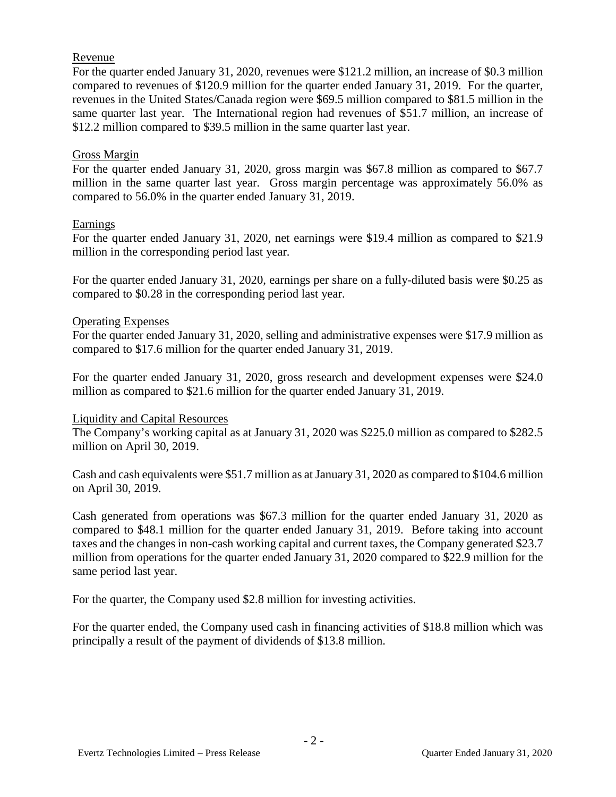## Revenue

For the quarter ended January 31, 2020, revenues were \$121.2 million, an increase of \$0.3 million compared to revenues of \$120.9 million for the quarter ended January 31, 2019. For the quarter, revenues in the United States/Canada region were \$69.5 million compared to \$81.5 million in the same quarter last year. The International region had revenues of \$51.7 million, an increase of \$12.2 million compared to \$39.5 million in the same quarter last year.

## Gross Margin

For the quarter ended January 31, 2020, gross margin was \$67.8 million as compared to \$67.7 million in the same quarter last year. Gross margin percentage was approximately 56.0% as compared to 56.0% in the quarter ended January 31, 2019.

## Earnings

For the quarter ended January 31, 2020, net earnings were \$19.4 million as compared to \$21.9 million in the corresponding period last year.

For the quarter ended January 31, 2020, earnings per share on a fully-diluted basis were \$0.25 as compared to \$0.28 in the corresponding period last year.

#### Operating Expenses

For the quarter ended January 31, 2020, selling and administrative expenses were \$17.9 million as compared to \$17.6 million for the quarter ended January 31, 2019.

For the quarter ended January 31, 2020, gross research and development expenses were \$24.0 million as compared to \$21.6 million for the quarter ended January 31, 2019.

#### Liquidity and Capital Resources

The Company's working capital as at January 31, 2020 was \$225.0 million as compared to \$282.5 million on April 30, 2019.

Cash and cash equivalents were \$51.7 million as at January 31, 2020 as compared to \$104.6 million on April 30, 2019.

Cash generated from operations was \$67.3 million for the quarter ended January 31, 2020 as compared to \$48.1 million for the quarter ended January 31, 2019. Before taking into account taxes and the changes in non-cash working capital and current taxes, the Company generated \$23.7 million from operations for the quarter ended January 31, 2020 compared to \$22.9 million for the same period last year.

For the quarter, the Company used \$2.8 million for investing activities.

For the quarter ended, the Company used cash in financing activities of \$18.8 million which was principally a result of the payment of dividends of \$13.8 million.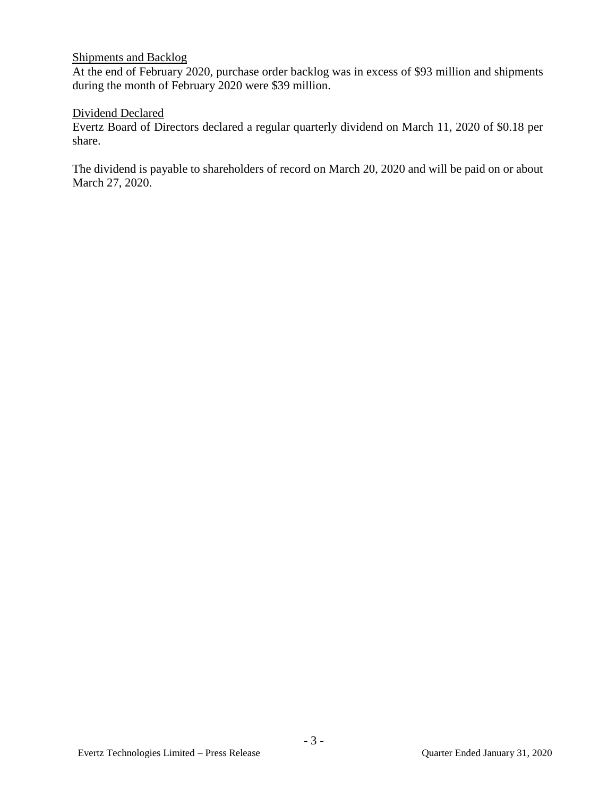## Shipments and Backlog

At the end of February 2020, purchase order backlog was in excess of \$93 million and shipments during the month of February 2020 were \$39 million.

## Dividend Declared

Evertz Board of Directors declared a regular quarterly dividend on March 11, 2020 of \$0.18 per share.

The dividend is payable to shareholders of record on March 20, 2020 and will be paid on or about March 27, 2020.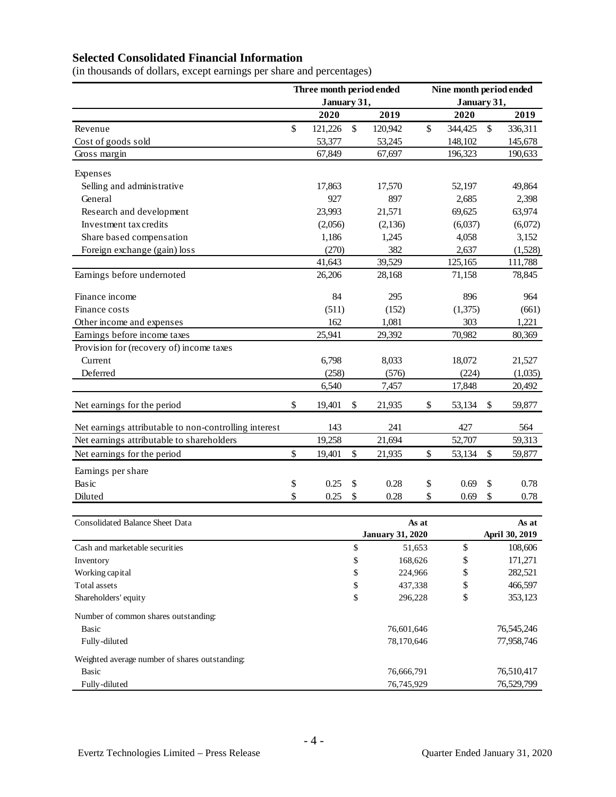# **Selected Consolidated Financial Information**

(in thousands of dollars, except earnings per share and percentages)

|                                                       | Three month period ended<br>January 31, |         | Nine month period ended<br>January 31, |                         |        |         |                           |                |  |
|-------------------------------------------------------|-----------------------------------------|---------|----------------------------------------|-------------------------|--------|---------|---------------------------|----------------|--|
|                                                       |                                         | 2020    |                                        | 2019                    |        | 2020    |                           | 2019           |  |
| Revenue                                               | \$                                      | 121,226 | \$                                     | 120,942                 | \$     | 344,425 | $\boldsymbol{\mathsf{S}}$ | 336,311        |  |
| Cost of goods sold                                    |                                         | 53,377  |                                        | 53,245                  |        | 148,102 |                           | 145,678        |  |
| Gross margin                                          |                                         | 67,849  |                                        | 67,697                  |        | 196,323 |                           | 190,633        |  |
|                                                       |                                         |         |                                        |                         |        |         |                           |                |  |
| Expenses                                              |                                         |         |                                        |                         |        |         |                           |                |  |
| Selling and administrative                            |                                         | 17,863  |                                        | 17,570                  |        | 52,197  |                           | 49,864         |  |
| General                                               |                                         | 927     |                                        | 897                     |        | 2,685   |                           | 2,398          |  |
| Research and development                              |                                         | 23,993  |                                        | 21,571                  |        | 69,625  |                           | 63,974         |  |
| Investment tax credits                                |                                         | (2,056) |                                        | (2, 136)                |        | (6,037) |                           | (6,072)        |  |
| Share based compensation                              |                                         | 1,186   |                                        | 1,245                   |        | 4,058   |                           | 3,152          |  |
| Foreign exchange (gain) loss                          |                                         | (270)   |                                        | 382                     |        | 2,637   |                           | (1,528)        |  |
|                                                       |                                         | 41,643  |                                        | 39,529                  |        | 125,165 |                           | 111,788        |  |
| Earnings before undernoted                            |                                         | 26,206  |                                        | 28,168                  |        | 71,158  |                           | 78,845         |  |
| Finance income                                        |                                         | 84      |                                        | 295                     |        | 896     |                           | 964            |  |
| Finance costs                                         |                                         | (511)   |                                        | (152)                   |        | (1,375) |                           | (661)          |  |
| Other income and expenses                             |                                         | 162     |                                        | 1,081                   |        | 303     |                           | 1,221          |  |
| Earnings before income taxes                          |                                         | 25,941  |                                        | 29,392                  |        | 70,982  |                           | 80,369         |  |
| Provision for (recovery of) income taxes              |                                         |         |                                        |                         |        |         |                           |                |  |
| Current                                               |                                         | 6,798   |                                        | 8,033                   |        | 18,072  |                           | 21,527         |  |
| Deferred                                              |                                         | (258)   |                                        | (576)                   |        | (224)   |                           | (1,035)        |  |
|                                                       |                                         | 6,540   |                                        | 7,457                   |        | 17,848  |                           | 20,492         |  |
| Net earnings for the period                           | \$                                      | 19,401  | \$                                     | 21,935                  | \$     | 53,134  | \$                        | 59,877         |  |
| Net earnings attributable to non-controlling interest |                                         | 143     |                                        | 241                     |        | 427     |                           | 564            |  |
| Net earnings attributable to shareholders             |                                         | 19,258  |                                        | 21,694                  |        | 52,707  |                           | 59,313         |  |
| Net earnings for the period                           | \$                                      | 19,401  | \$                                     | 21,935                  | \$     | 53,134  | \$                        | 59,877         |  |
| Earnings per share                                    |                                         |         |                                        |                         |        |         |                           |                |  |
| Basic                                                 | \$                                      | 0.25    | \$                                     | 0.28                    | \$     | 0.69    | \$                        | 0.78           |  |
| Diluted                                               | \$                                      | 0.25    | \$                                     | 0.28                    | \$     | 0.69    | \$                        | 0.78           |  |
|                                                       |                                         |         |                                        |                         |        |         |                           |                |  |
| Consolidated Balance Sheet Data                       |                                         |         | As at                                  |                         |        | As at   |                           |                |  |
|                                                       |                                         |         |                                        | <b>January 31, 2020</b> |        |         |                           | April 30, 2019 |  |
| Cash and marketable securities                        |                                         |         | \$                                     |                         | 51,653 | \$      |                           | 108,606        |  |
| Inventory                                             |                                         |         | \$                                     | 168,626                 |        | \$      |                           | 171,271        |  |
| Working capital                                       |                                         |         | \$                                     | 224,966                 |        | \$      |                           | 282,521        |  |
| Total assets                                          |                                         |         | \$                                     | 437,338                 |        | \$      |                           | 466,597        |  |
| Shareholders' equity                                  |                                         |         | \$                                     | 296,228                 |        | \$      |                           | 353,123        |  |
| Number of common shares outstanding:                  |                                         |         |                                        |                         |        |         |                           |                |  |
| Basic                                                 |                                         |         |                                        | 76,601,646              |        |         |                           | 76,545,246     |  |
| Fully-diluted                                         |                                         |         |                                        | 78,170,646              |        |         |                           | 77,958,746     |  |
| Weighted average number of shares outstanding:        |                                         |         |                                        |                         |        |         |                           |                |  |
| <b>Basic</b>                                          |                                         |         |                                        | 76,666,791              |        |         |                           | 76,510,417     |  |
| Fully-diluted                                         |                                         |         |                                        | 76,745,929              |        |         |                           | 76,529,799     |  |